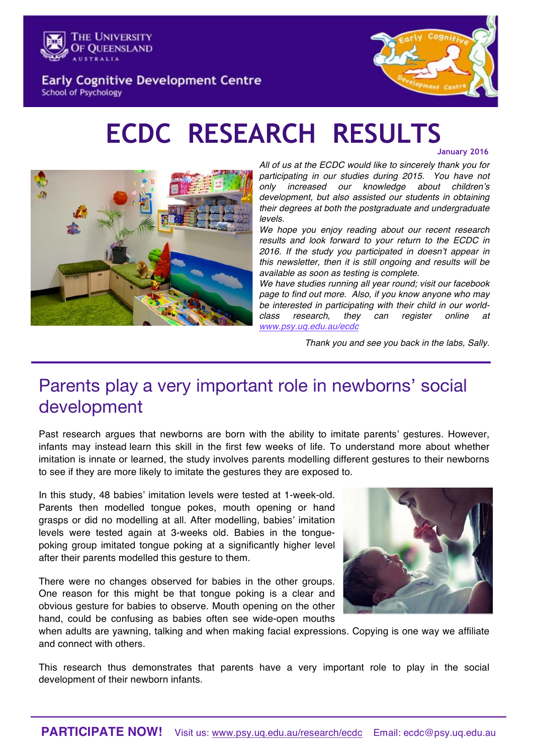

**Early Cognitive Development Centre School of Psychology** 



# **ECDC RESEARCH RESULTS**

**January 2016**



*All of us at the ECDC would like to sincerely thank you for participating in our studies during 2015. You have not only increased our knowledge about children's development, but also assisted our students in obtaining their degrees at both the postgraduate and undergraduate levels.* 

*We hope you enjoy reading about our recent research results and look forward to your return to the ECDC in 2016. If the study you participated in doesn't appear in this newsletter, then it is still ongoing and results will be available as soon as testing is complete.* 

*We have studies running all year round; visit our facebook page to find out more. Also, if you know anyone who may be interested in participating with their child in our worldclass research, they can register online at www.psy.uq.edu.au/ecdc* 

*Thank you and see you back in the labs, Sally.*

# Parents play a very important role in newborns' social development

Past research argues that newborns are born with the ability to imitate parents' gestures. However, infants may instead learn this skill in the first few weeks of life. To understand more about whether imitation is innate or learned, the study involves parents modelling different gestures to their newborns to see if they are more likely to imitate the gestures they are exposed to.

In this study, 48 babies' imitation levels were tested at 1-week-old. Parents then modelled tongue pokes, mouth opening or hand grasps or did no modelling at all. After modelling, babies' imitation levels were tested again at 3-weeks old. Babies in the tonguepoking group imitated tongue poking at a significantly higher level after their parents modelled this gesture to them.

There were no changes observed for babies in the other groups. One reason for this might be that tongue poking is a clear and obvious gesture for babies to observe. Mouth opening on the other hand, could be confusing as babies often see wide-open mouths



when adults are yawning, talking and when making facial expressions. Copying is one way we affiliate and connect with others.

This research thus demonstrates that parents have a very important role to play in the social development of their newborn infants.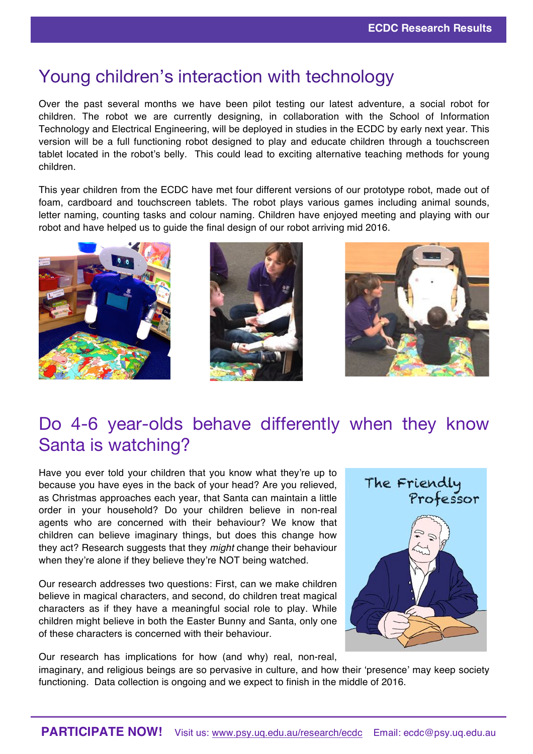### Young children's interaction with technology

Over the past several months we have been pilot testing our latest adventure, a social robot for children. The robot we are currently designing, in collaboration with the School of Information Technology and Electrical Engineering, will be deployed in studies in the ECDC by early next year. This version will be a full functioning robot designed to play and educate children through a touchscreen tablet located in the robot's belly. This could lead to exciting alternative teaching methods for young children.

This year children from the ECDC have met four different versions of our prototype robot, made out of foam, cardboard and touchscreen tablets. The robot plays various games including animal sounds, letter naming, counting tasks and colour naming. Children have enjoyed meeting and playing with our robot and have helped us to guide the final design of our robot arriving mid 2016.







# Do 4-6 year-olds behave differently when they know Santa is watching?

Have you ever told your children that you know what they're up to because you have eyes in the back of your head? Are you relieved, as Christmas approaches each year, that Santa can maintain a little order in your household? Do your children believe in non-real agents who are concerned with their behaviour? We know that children can believe imaginary things, but does this change how they act? Research suggests that they *might* change their behaviour when they're alone if they believe they're NOT being watched.

Our research addresses two questions: First, can we make children believe in magical characters, and second, do children treat magical characters as if they have a meaningful social role to play. While children might believe in both the Easter Bunny and Santa, only one of these characters is concerned with their behaviour.

Our research has implications for how (and why) real, non-real,

functioning. Data collection is ongoing and we expect to finish in the middle of 2016.

The Friendly<br>Professor

imaginary, and religious beings are so pervasive in culture, and how their 'presence' may keep society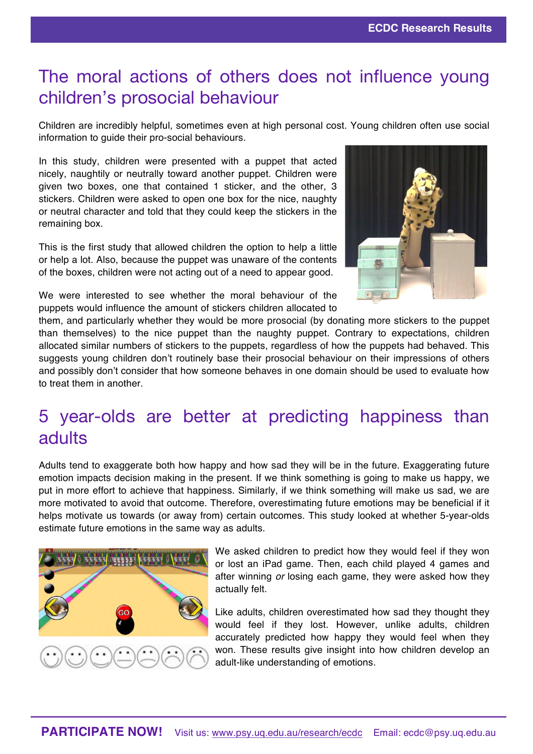## The moral actions of others does not influence young children's prosocial behaviour

Children are incredibly helpful, sometimes even at high personal cost. Young children often use social information to guide their pro-social behaviours.

In this study, children were presented with a puppet that acted nicely, naughtily or neutrally toward another puppet. Children were given two boxes, one that contained 1 sticker, and the other, 3 stickers. Children were asked to open one box for the nice, naughty or neutral character and told that they could keep the stickers in the remaining box.

This is the first study that allowed children the option to help a little or help a lot. Also, because the puppet was unaware of the contents of the boxes, children were not acting out of a need to appear good.



We were interested to see whether the moral behaviour of the puppets would influence the amount of stickers children allocated to

them, and particularly whether they would be more prosocial (by donating more stickers to the puppet than themselves) to the nice puppet than the naughty puppet. Contrary to expectations, children allocated similar numbers of stickers to the puppets, regardless of how the puppets had behaved. This suggests young children don't routinely base their prosocial behaviour on their impressions of others and possibly don't consider that how someone behaves in one domain should be used to evaluate how to treat them in another.

## 5 year-olds are better at predicting happiness than adults

Adults tend to exaggerate both how happy and how sad they will be in the future. Exaggerating future emotion impacts decision making in the present. If we think something is going to make us happy, we put in more effort to achieve that happiness. Similarly, if we think something will make us sad, we are more motivated to avoid that outcome. Therefore, overestimating future emotions may be beneficial if it helps motivate us towards (or away from) certain outcomes. This study looked at whether 5-year-olds estimate future emotions in the same way as adults.



We asked children to predict how they would feel if they won or lost an iPad game. Then, each child played 4 games and after winning *or* losing each game, they were asked how they actually felt.

Like adults, children overestimated how sad they thought they would feel if they lost. However, unlike adults, children accurately predicted how happy they would feel when they won. These results give insight into how children develop an adult-like understanding of emotions.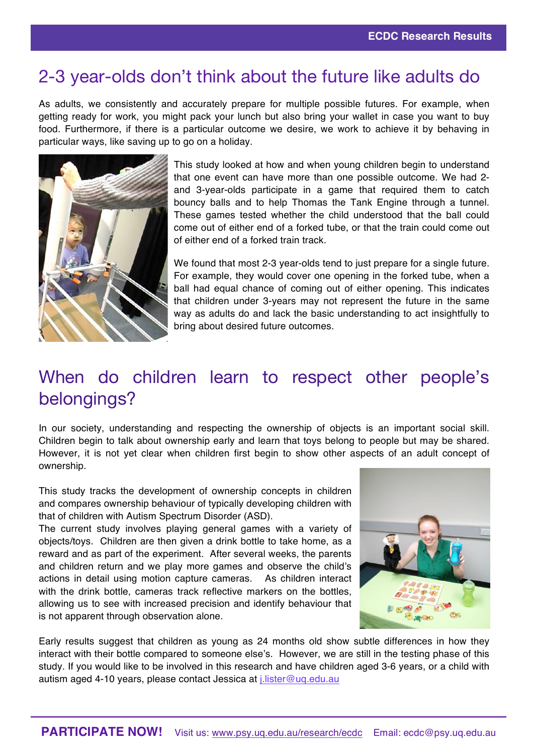#### 2-3 year-olds don't think about the future like adults do

As adults, we consistently and accurately prepare for multiple possible futures. For example, when getting ready for work, you might pack your lunch but also bring your wallet in case you want to buy food. Furthermore, if there is a particular outcome we desire, we work to achieve it by behaving in particular ways, like saving up to go on a holiday.



This study looked at how and when young children begin to understand that one event can have more than one possible outcome. We had 2 and 3-year-olds participate in a game that required them to catch bouncy balls and to help Thomas the Tank Engine through a tunnel. These games tested whether the child understood that the ball could come out of either end of a forked tube, or that the train could come out of either end of a forked train track.

We found that most 2-3 year-olds tend to just prepare for a single future. For example, they would cover one opening in the forked tube, when a ball had equal chance of coming out of either opening. This indicates that children under 3-years may not represent the future in the same way as adults do and lack the basic understanding to act insightfully to bring about desired future outcomes.

## When do children learn to respect other people's belongings?

In our society, understanding and respecting the ownership of objects is an important social skill. Children begin to talk about ownership early and learn that toys belong to people but may be shared. However, it is not yet clear when children first begin to show other aspects of an adult concept of ownership.

This study tracks the development of ownership concepts in children and compares ownership behaviour of typically developing children with that of children with Autism Spectrum Disorder (ASD).

The current study involves playing general games with a variety of objects/toys. Children are then given a drink bottle to take home, as a reward and as part of the experiment. After several weeks, the parents and children return and we play more games and observe the child's actions in detail using motion capture cameras. As children interact with the drink bottle, cameras track reflective markers on the bottles, allowing us to see with increased precision and identify behaviour that is not apparent through observation alone.



Early results suggest that children as young as 24 months old show subtle differences in how they interact with their bottle compared to someone else's. However, we are still in the testing phase of this study. If you would like to be involved in this research and have children aged 3-6 years, or a child with autism aged 4-10 years, please contact Jessica at *j.lister@ug.edu.au*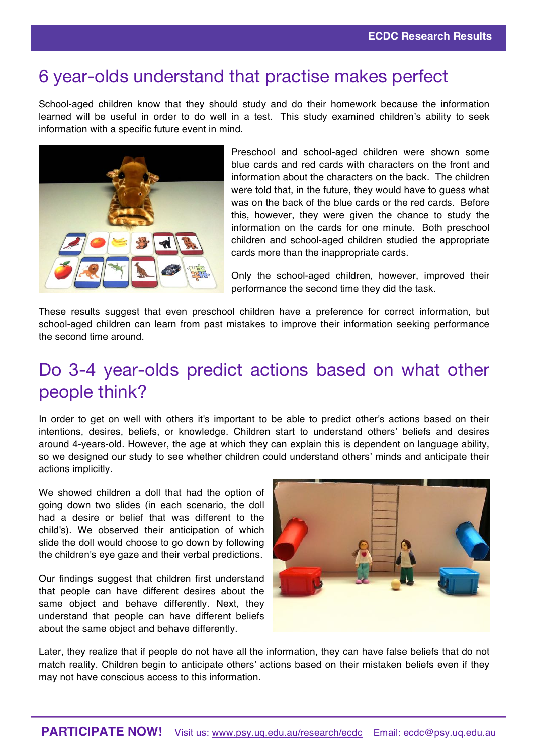#### 6 year-olds understand that practise makes perfect

School-aged children know that they should study and do their homework because the information learned will be useful in order to do well in a test. This study examined children's ability to seek information with a specific future event in mind.



Preschool and school-aged children were shown some blue cards and red cards with characters on the front and information about the characters on the back. The children were told that, in the future, they would have to guess what was on the back of the blue cards or the red cards. Before this, however, they were given the chance to study the information on the cards for one minute. Both preschool children and school-aged children studied the appropriate cards more than the inappropriate cards.

Only the school-aged children, however, improved their performance the second time they did the task.

These results suggest that even preschool children have a preference for correct information, but school-aged children can learn from past mistakes to improve their information seeking performance the second time around.

## Do 3-4 year-olds predict actions based on what other people think?

In order to get on well with others it's important to be able to predict other's actions based on their intentions, desires, beliefs, or knowledge. Children start to understand others' beliefs and desires around 4-years-old. However, the age at which they can explain this is dependent on language ability, so we designed our study to see whether children could understand others' minds and anticipate their actions implicitly.

We showed children a doll that had the option of going down two slides (in each scenario, the doll had a desire or belief that was different to the child's). We observed their anticipation of which slide the doll would choose to go down by following the children's eye gaze and their verbal predictions.

Our findings suggest that children first understand that people can have different desires about the same object and behave differently. Next, they understand that people can have different beliefs about the same object and behave differently.



Later, they realize that if people do not have all the information, they can have false beliefs that do not match reality. Children begin to anticipate others' actions based on their mistaken beliefs even if they may not have conscious access to this information.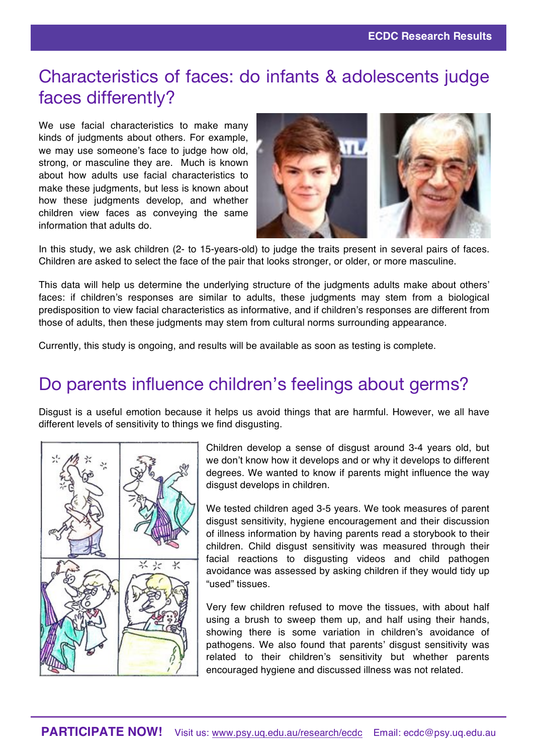## Characteristics of faces: do infants & adolescents judge faces differently?

We use facial characteristics to make many kinds of judgments about others. For example, we may use someone's face to judge how old, strong, or masculine they are. Much is known about how adults use facial characteristics to make these judgments, but less is known about how these judgments develop, and whether children view faces as conveying the same information that adults do.



In this study, we ask children (2- to 15-years-old) to judge the traits present in several pairs of faces. Children are asked to select the face of the pair that looks stronger, or older, or more masculine.

This data will help us determine the underlying structure of the judgments adults make about others' faces: if children's responses are similar to adults, these judgments may stem from a biological predisposition to view facial characteristics as informative, and if children's responses are different from those of adults, then these judgments may stem from cultural norms surrounding appearance.

Currently, this study is ongoing, and results will be available as soon as testing is complete.

# Do parents influence children's feelings about germs?

Disgust is a useful emotion because it helps us avoid things that are harmful. However, we all have different levels of sensitivity to things we find disgusting.



Children develop a sense of disgust around 3-4 years old, but we don't know how it develops and or why it develops to different degrees. We wanted to know if parents might influence the way disgust develops in children.

We tested children aged 3-5 years. We took measures of parent disgust sensitivity, hygiene encouragement and their discussion of illness information by having parents read a storybook to their children. Child disgust sensitivity was measured through their facial reactions to disgusting videos and child pathogen avoidance was assessed by asking children if they would tidy up "used" tissues.

Very few children refused to move the tissues, with about half using a brush to sweep them up, and half using their hands, showing there is some variation in children's avoidance of pathogens. We also found that parents' disgust sensitivity was related to their children's sensitivity but whether parents encouraged hygiene and discussed illness was not related.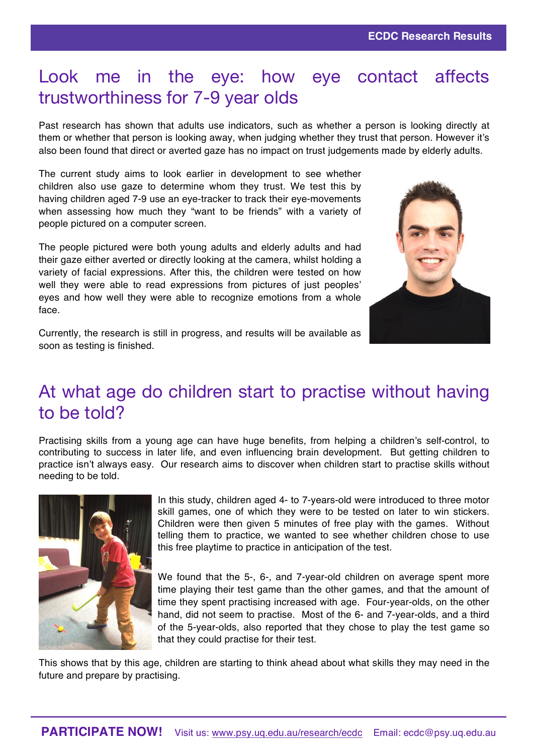## Look me in the eye: how eye contact affects trustworthiness for 7-9 year olds

Past research has shown that adults use indicators, such as whether a person is looking directly at them or whether that person is looking away, when judging whether they trust that person. However it's also been found that direct or averted gaze has no impact on trust judgements made by elderly adults.

The current study aims to look earlier in development to see whether children also use gaze to determine whom they trust. We test this by having children aged 7-9 use an eye-tracker to track their eye-movements when assessing how much they "want to be friends" with a variety of people pictured on a computer screen.

The people pictured were both young adults and elderly adults and had their gaze either averted or directly looking at the camera, whilst holding a variety of facial expressions. After this, the children were tested on how well they were able to read expressions from pictures of just peoples' eyes and how well they were able to recognize emotions from a whole face.



Currently, the research is still in progress, and results will be available as soon as testing is finished.

## At what age do children start to practise without having to be told?

Practising skills from a young age can have huge benefits, from helping a children's self-control, to contributing to success in later life, and even influencing brain development. But getting children to practice isn't always easy. Our research aims to discover when children start to practise skills without needing to be told.



In this study, children aged 4- to 7-years-old were introduced to three motor skill games, one of which they were to be tested on later to win stickers. Children were then given 5 minutes of free play with the games. Without telling them to practice, we wanted to see whether children chose to use this free playtime to practice in anticipation of the test.

We found that the 5-, 6-, and 7-year-old children on average spent more time playing their test game than the other games, and that the amount of time they spent practising increased with age. Four-year-olds, on the other hand, did not seem to practise. Most of the 6- and 7-year-olds, and a third of the 5-year-olds, also reported that they chose to play the test game so that they could practise for their test.

This shows that by this age, children are starting to think ahead about what skills they may need in the future and prepare by practising.